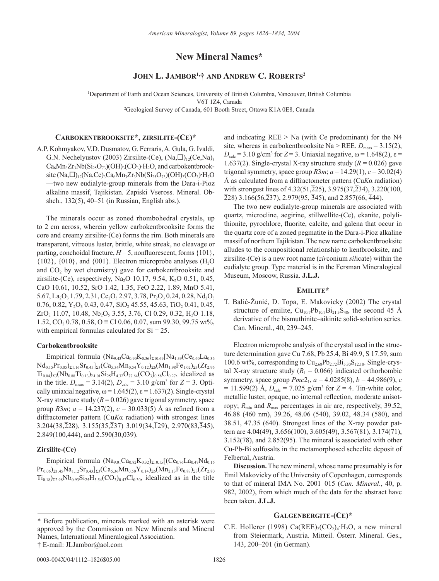# **New Mineral Names\***

# **JOHN L. JAMBOR1,† AND ANDREW C. ROBERTS2**

1 Department of Earth and Ocean Sciences, University of British Columbia, Vancouver, British Columbia V6T 1Z4, Canada 2 Geological Survey of Canada, 601 Booth Street, Ottawa K1A 0E8, Canada

## **CARBOKENTBROOKSITE\*, ZIRSILITE-(CE)\***

A.P. Kohmyakov, V.D. Dusmatov, G. Ferraris, A. Gula, G. Ivaldi, G.N. Nechelyustov (2003) Zirsilite-(Ce),  $(Na, \Box)_{12}$ (Ce,Na)<sub>3</sub>  $Ca_6Mn_3Zr_3Nb(Si_{25}O_{73})(OH)_3(CO_3)H_2O$ , and carbokentbrooksite (Na, $\Box$ )<sub>12</sub>(Na,Ce)<sub>3</sub>Ca<sub>6</sub>Mn<sub>3</sub>Zr<sub>3</sub>Nb(Si<sub>25</sub>O<sub>73</sub>)(OH)<sub>3</sub>(CO<sub>3</sub>)·H<sub>2</sub>O —two new eudialyte-group minerals from the Dara-i-Pioz alkaline massif, Tajikistan. Zapiski Vseross. Mineral. Obshch., 132(5), 40–51 (in Russian, English abs.).

The minerals occur as zoned rhombohedral crystals, up to 2 cm across, wherein yellow carbokentbrooksite forms the core and creamy zirsilite-(Ce) forms the rim. Both minerals are transparent, vitreous luster, brittle, white streak, no cleavage or parting, conchoidal fracture,  $H = 5$ , nonfluorescent, forms  $\{101\}$ ,  ${102}$ ,  ${010}$ , and  ${001}$ . Electron microprobe analyses (H<sub>2</sub>O) and  $CO<sub>2</sub>$  by wet chemistry) gave for carbokentbrooksite and zirsilite-(Ce), respectively, Na<sub>2</sub>O 10.17, 9.54, K<sub>2</sub>O 0.51, 0.45, CaO 10.61, 10.52, SrO 1.42, 1.35, FeO 2.22, 1.89, MnO 5.41,  $5.67$ , La<sub>2</sub>O<sub>3</sub> 1.79, 2.31, Ce<sub>2</sub>O<sub>3</sub> 2.97, 3.78, Pr<sub>2</sub>O<sub>3</sub> 0.24, 0.28, Nd<sub>2</sub>O<sub>3</sub> 0.76, 0.82, Y<sub>2</sub>O<sub>3</sub> 0.43, 0.47, SiO<sub>2</sub> 45.55, 45.63, TiO<sub>2</sub> 0.41, 0.45,  $ZrO<sub>2</sub>$  11.07, 10.48, Nb<sub>2</sub>O<sub>5</sub> 3.55, 3.76, Cl 0.29, 0.32, H<sub>2</sub>O 1.18, 1.52,  $CO_2$  0.78, 0.58,  $O \equiv Cl$  0.06, 0.07, sum 99.30, 99.75 wt%, with empirical formulas calculated for  $Si = 25$ .

## **Carbokentbrooksite**

Empirical formula  $(Na_{9,43}Ca_{0.90}K_{0.36})_{\Sigma10,69}[Na_{1,39}(Ce_{0.60}La_{0.36}]$  $Nd_{0.15}Pr_{0.05}$ )<sub>Σ1.16</sub>Sr<sub>0.45</sub>]<sub>Σ3</sub>(Ca<sub>5.34</sub>Mn<sub>0.54</sub>Y<sub>0.12</sub>)<sub>Σ6</sub>(Mn<sub>1.98</sub>Fe<sub>1.02</sub>)<sub>Σ3</sub>(Zr<sub>2.96</sub>  $Ti_{0.04}$ )<sub>Σ3</sub>(Nb<sub>0.88</sub>Ti<sub>0.13</sub>)<sub>Σ1.01</sub>Si<sub>25</sub>H<sub>4.32</sub>O<sub>77.64</sub>(CO<sub>3</sub>)<sub>0.58</sub>Cl<sub>0.27</sub>, idealized as in the title.  $D_{\text{meas}} = 3.14(2), D_{\text{calc}} = 3.10 \text{ g/cm}^3 \text{ for } Z = 3.0 \text{ pti-}$ cally uniaxial negative,  $\omega$  = 1.645(2),  $\varepsilon$  = 1.637(2). Single-crystal X-ray structure study  $(R = 0.026)$  gave trigonal symmetry, space group *R*3*m*;  $a = 14.237(2)$ ,  $c = 30.033(5)$  Å as refined from a diffractometer pattern (Cu*K*α radiation) with strongest lines 3.204(38,228), 3.155(35,237) 3.019(34,129), 2.970(83,345),  $2.849(100,444)$ , and  $2.590(30,039)$ .

### **Zirsilite-(Ce)**

Empirical formula  $(Na_{9.01}Ca_{0.82}K_{0.32})_{\Sigma10.15}[(Ce_{0.76}La_{0.47}Nd_{0.16}]$  $Pr_{0.06}$ <sub>21.45</sub>Na<sub>1.12</sub>Sr<sub>0.43</sub>]<sub>Σ3</sub>(Ca<sub>5.36</sub>Mn<sub>0.50</sub>Y<sub>0.14</sub>)<sub>Σ6</sub>(Mn<sub>2.13</sub>Fe<sub>0.87</sub>)<sub>Σ3</sub>(Zr<sub>2.80</sub>)  $Ti_{0.18}$ )<sub>22.98</sub>Nb<sub>0.93</sub>Si<sub>25</sub>H<sub>5.54</sub>(CO<sub>3</sub>)<sub>0.43</sub>Cl<sub>0.30</sub>, idealized as in the title and indicating  $REE > Na$  (with Ce predominant) for the N4 site, whereas in carbokentbrooksite Na > REE.  $D_{\text{meas}} = 3.15(2)$ ,  $D_{\text{calc}}$  = 3.10 g/cm<sup>3</sup> for *Z* = 3. Uniaxial negative,  $\omega$  = 1.648(2),  $\varepsilon$  = 1.637(2). Single-crystal X-ray structure study  $(R = 0.026)$  gave trigonal symmetry, space group  $R3m$ ;  $a = 14.29(1)$ ,  $c = 30.02(4)$ Å as calculated from a diffractometer pattern (Cu*K*α radiation) with strongest lines of  $4.32(51,\overline{2}25)$ ,  $3.975(37,\overline{2}34)$ ,  $3.220(100,$  $\overline{228}$ ) 3.166(56,237), 2.979(95, 345), and 2.857(66, 444).

The two new eudialyte-group minerals are associated with quartz, microcline, aegirine, stillwellite-(Ce), ekanite, polylithionite, pyrochlore, fluorite, calcite, and galena that occur in the quartz core of a zoned pegmatite in the Dara-i-Pioz alkaline massif of northern Tajikistan. The new name carbokentbrooksite alludes to the compositional relationship to kentbrooksite, and zirsilite-(Ce) is a new root name (*zir*conium *sil*icate) within the eudialyte group. Type material is in the Fersman Mineralogical Museum, Moscow, Russia. **J.L.J.**

#### **EMILITE\***

T. Balić-Žunić, D. Topa, E. Makovicky (2002) The crystal structure of emilite,  $Cu_{10.7}Pb_{10.7}Bi_{21.3}S_{48}$ , the second 45 Å derivative of the bismuthinite–aikinite solid-solution series. Can. Mineral., 40, 239–245.

Electron microprobe analysis of the crystal used in the structure determination gave Cu 7.68, Pb 25.4, Bi 49.9, S 17.59, sum 100.6 wt%, corresponding to  $Cu_{2.68}Pb_{2.72}Bi_{5.30}S_{12.18}$ . Single-crystal X-ray structure study  $(R_1 = 0.066)$  indicated orthorhombic symmetry, space group  $Pmc2_1$ ,  $a = 4.0285(8)$ ,  $b = 44.986(9)$ , *c*  $= 11.599(2)$  Å,  $D_{\text{calc}} = 7.025$  g/cm<sup>3</sup> for  $Z = 4$ . Tin-white color, metallic luster, opaque, no internal reflection, moderate anisotropy;  $R_{\text{min}}$  and  $R_{\text{max}}$  percentages in air are, respectively, 39.52, 46.88 (460 nm), 39.26, 48.06 (540), 39.02, 48.34 (580), and 38.51, 47.35 (640). Strongest lines of the X-ray powder pattern are 4.04(49), 3.656(100), 3.605(49), 3.567(81), 3.174(71), 3.152(78), and 2.852(95). The mineral is associated with other Cu-Pb-Bi sulfosalts in the metamorphosed scheelite deposit of Felbertal, Austria.

**Discussion.** The new mineral, whose name presumably is for Emil Makovicky of the University of Copenhagen, corresponds to that of mineral IMA No. 2001–015 (*Can. Mineral*., 40, p. 982, 2002), from which much of the data for the abstract have been taken. **J.L.J.**

### **GALGENBERGITE-(CE)\***

C.E. Hollerer (1998) Ca(REE)<sub>2</sub>(CO<sub>2</sub>)<sub>4</sub>·H<sub>2</sub>O, a new mineral from Steiermark, Austria. Mitteil. Österr. Mineral. Ges., 143, 200–201 (in German).

<sup>\*</sup> Before publication, minerals marked with an asterisk were approved by the Commission on New Minerals and Mineral Names, International Mineralogical Association. † E-mail: JLJambor@aol.com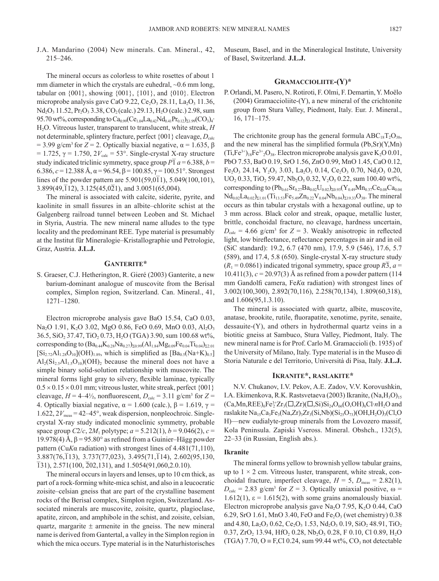J.A. Mandarino (2004) New minerals. Can. Mineral., 42, 215–246.

The mineral occurs as colorless to white rosettes of about 1 mm diameter in which the crystals are euhedral,  $\sim 0.6$  mm long, tabular on {001}, showing {001}, {101}, and {010}. Electron microprobe analysis gave CaO 9.22,  $Ce<sub>2</sub>O<sub>3</sub> 28.11$ , La<sub>2</sub>O<sub>3</sub> 11.36, Nd<sub>2</sub>O<sub>3</sub> 11.52, Pr<sub>2</sub>O<sub>3</sub> 3.38, CO<sub>2</sub> (calc.) 29.13, H<sub>2</sub>O (calc.) 2.98, sum 95.70 wt%, corresponding to  $Ca_{0.99}(Ce_{1.04}La_{0.42}Nd_{0.41}Pr_{0.12})_{\Sigma1.99}(CO_3)_4$ H2O. Vitreous luster, transparent to translucent, white streak, *H* not determinable, splintery fracture, perfect  $\{001\}$  cleavage,  $D_{\text{calc}}$  $= 3.99$  g/cm<sup>3</sup> for *Z* = 2. Optically biaxial negative,  $α = 1.635$ , β  $= 1.725$ ,  $\gamma = 1.750$ ,  $2V_{\text{calc}} = 53^{\circ}$ . Single-crystal X-ray structure study indicated triclinic symmetry, space group  $P\bar{1}a = 6.388$ ,  $b =$ 6.386, *c* = 12.388 Å, α = 96.54, β = 100.85, γ = 100.51°. Strongest lines of the powder pattern are  $5.901(59,0\overline{1}1)$ ,  $5.049(100,101)$ , 3.899(49, $\overline{1}12$ ), 3.125(45,0 $\overline{2}1$ ), and 3.0051(65,004).

The mineral is associated with calcite, siderite, pyrite, and kaolinite in small fissures in an albite–chlorite schist at the Galgenberg railroad tunnel between Leoben and St. Michael in Styria, Austria. The new mineral name alludes to the type locality and the predominant REE. Type material is presumably at the Institut für Mineralogie–Kristallographie und Petrologie, Graz, Austria. **J.L.J.**

### **GANTERITE\***

S. Graeser, C.J. Hetherington, R. Gieré (2003) Ganterite, a new barium-dominant analogue of muscovite from the Berisal complex, Simplon region, Switzerland. Can. Mineral., 41, 1271–1280.

Electron microprobe analysis gave BaO 15.54, CaO 0.03, Na<sub>2</sub>O 1.91, K<sub>2</sub>O 3.02, MgO 0.86, FeO 0.69, MnO 0.03, Al<sub>2</sub>O<sub>3</sub> 36.5, SiO2 37.47, TiO2 0.73, H2O (TGA) 3.90, sum 100.68 wt%, corresponding to  $(Ba_{0.44}K_{0.28}Na_{0.27})_{\Sigma_{0.99}}(Al_{1.84}Mg_{0.09}Fe_{0.04}Ti_{0.04})_{\Sigma_{2.01}}$  $[Si_{2.72}Al_{1.28}O_{10}](OH)_{1.89}$ , which is simplified as  $[Ba_{0.5}(Na+K)_{0.5}]$  $\text{Al}_2(\text{Si}_2, \text{Al}_1, \text{O}_{10})$ (OH)<sub>2</sub> because the mineral does not have a simple binary solid-solution relationship with muscovite. The mineral forms light gray to silvery, flexible laminae, typically  $0.5 \times 0.15 \times 0.01$  mm; vitreous luster, white streak, perfect {001} cleavage,  $H = 4-4\frac{1}{2}$ , nonfluorescent,  $D_{\text{calc}} = 3.11$  g/cm<sup>3</sup> for  $Z =$ 4. Optically biaxial negative,  $\alpha = 1.600$  (calc.),  $\beta = 1.619$ ,  $\gamma =$ 1.622,  $2V_{\text{meas}} = 42-45^{\circ}$ , weak dispersion, nonpleochroic. Singlecrystal X-ray study indicated monoclinic symmetry, probable space group *C*2/*c*, 2*M*<sub>1</sub> polytype;  $a = 5.212(1)$ ,  $b = 9.046(2)$ ,  $c =$ 19.978(4) Å,  $\beta$  = 95.80° as refined from a Guinier–Hägg powder pattern (Cu*K*α radiation) with strongest lines of 4.481(71,110), 3.887(76,113), 3.737(77,023), 3.495(71,114), 2.602(95,130,  $\overline{1}31$ , 2.571(100,  $\overline{2}02,131$ ), and 1.5054(91,060,2.0.10).

The mineral occurs in layers and lenses, up to 10 cm thick, as part of a rock-forming white-mica schist, and also in a leucocratic zoisite–celsian gneiss that are part of the crystalline basement rocks of the Berisal complex, Simplon region, Switzerland. Associated minerals are muscovite, zoisite, quartz, plagioclase, apatite, zircon, and amphibole in the schist, and zoisite, celsian, quartz, margarite  $\pm$  armenite in the gneiss. The new mineral name is derived from Gantertal, a valley in the Simplon region in which the mica occurs. Type material is in the Naturhistorisches Museum, Basel, and in the Mineralogical Institute, University of Basel, Switzerland. **J.L.J.**

### **GRAMACCIOLIITE-(Y)\***

P. Orlandi, M. Pasero, N. Rotiroti, F. Olmi, F. Demartin, Y. Moëlo (2004) Gramaccioliite-(Y), a new mineral of the crichtonite group from Stura Valley, Piedmont, Italy. Eur. J. Mineral., 16, 171–175.

The crichtonite group has the general formula  $ABC_{18}T_2O_{38}$ , and the new mineral has the simplified formula (Pb,Sr)(Y,Mn)  $(T_i,Fe^{3+})_{18}Fe^{3+}O_{38}$ . Electron microprobe analysis gave K<sub>2</sub>O 0.01, PbO 7.53, BaO 0.19, SrO 1.56, ZnO 0.99, MnO 1.45, CaO 0.12,  $Fe<sub>2</sub>O<sub>3</sub> 24.14$ ,  $Y<sub>2</sub>O<sub>3</sub> 3.03$ , La<sub>2</sub>O<sub>3</sub> 0.14, Ce<sub>2</sub>O<sub>3</sub> 0.70, Nd<sub>2</sub>O<sub>3</sub> 0.20,  $UO<sub>2</sub> 0.33, TiO<sub>2</sub> 59.47, Nb<sub>2</sub>O<sub>5</sub> 0.32, V<sub>2</sub>O<sub>5</sub> 0.22, sum 100.40 wt%,$ corresponding to  $(Pb_{0.61}Sr_{0.27}Ba_{0.02}U_{0.02})_{\Sigma 0.93}(Y_{0.49}Mn_{0.37}Ce_{0.08}Ca_{0.04})$  $Nd_{0.02}La_{0.02}$ <sub> $\Sigma1.01$ </sub> $(Ti_{13.53}Fe_{5.49}Zn_{0.22}V_{0.04}Nb_{0.04}$ <sub> $\Sigma19.33$ </sub> $O_{38}$ . The mineral occurs as thin tabular crystals with a hexagonal outline, up to 3 mm across. Black color and streak, opaque, metallic luster, brittle, conchoidal fracture, no cleavage, hardness uncertain,  $D_{\text{calc}} = 4.66$  g/cm<sup>3</sup> for  $Z = 3$ . Weakly anisotropic in reflected light, low bireflectance, reflectance percentages in air and in oil (SiC standard): 19.2, 6.7 (470 nm), 17.9, 5.9 (546), 17.6, 5.7 (589), and 17.4, 5.8 (650). Single-crystal X-ray structure study  $(R_1 = 0.0861)$  indicated trigonal symmetry, space group  $R\overline{3}$ ,  $a =$ 10.411(3), *c* = 20.97(3) Å as refined from a powder pattern (114 mm Gandolfi camera, Fe*K*α radiation) with strongest lines of 3.002(100,300), 2.892(70,116), 2.258(70,134), 1.809(60,318), and 1.606(95,1.3.10).

The mineral is associated with quartz, albite, muscovite, anatase, brookite, rutile, fluorapatite, xenotime, pyrite, senaite, dessauite-(Y), and others in hydrothermal quartz veins in a biotitic gneiss at Sambuco, Stura Valley, Piedmont, Italy. The new mineral name is for Prof. Carlo M. Gramaccioli (b. 1935) of the University of Milano, Italy. Type material is in the Museo di Storia Naturale e del Territorio, Università di Pisa, Italy. **J.L.J.**

#### **IKRANITE\*, RASLAKITE\***

N.V. Chukanov, I.V. Pekov, A.E. Zadov, V.V. Korovushkin, I.A. Ekimenkova, R.K. Rastsvetaeva (2003) Ikranite, (Na,H<sub>3</sub>O)<sub>15</sub>  $(Ca, Mn,REE)_6Fe^{3+}Zr_3(\square, Zr)(\square, Si)Si_{24}O_{66}(O,OH)_6Cl·nH_2O$  and raslakite  $Na<sub>15</sub>Ca<sub>3</sub>Fe<sub>3</sub>(Na,Zr)<sub>3</sub>Zr<sub>3</sub>(Si,Nb)(Si<sub>25</sub>O<sub>73</sub>)(OH,H<sub>2</sub>O)<sub>3</sub>(Cl,O)$ H)—new eudialyte-group minerals from the Lovozero massif, Kola Peninsula. Zapiski Vseross. Mineral. Obshch., 132(5), 22–33 (in Russian, English abs.).

#### **Ikranite**

The mineral forms yellow to brownish yellow tabular grains, up to  $1 \times 2$  cm. Vitreous luster, transparent, white streak, conchoidal fracture, imperfect cleavage,  $H = 5$ ,  $D_{\text{meas}} = 2.82(1)$ ,  $D_{\text{calc}} = 2.83$  g/cm<sup>3</sup> for  $Z = 3$ . Optically uniaxial positive,  $\omega =$ 1.612(1),  $\varepsilon$  = 1.615(2), with some grains anomalously biaxial. Electron microprobe analysis gave Na<sub>2</sub>O 7.95, K<sub>2</sub>O 0.44, CaO 6.29, SrO 1.61, MnO 3.40, FeO and  $Fe<sub>2</sub>O<sub>3</sub>$  (wet chemistry) 0.38 and  $4.80$ , La<sub>2</sub>O<sub>3</sub> 0.62, Ce<sub>2</sub>O<sub>3</sub> 1.53, Nd<sub>2</sub>O<sub>3</sub> 0.19, SiO<sub>2</sub> 48.91, TiO<sub>2</sub> 0.37,  $ZrO_2$  13.94,  $HfO_2$  0.28,  $Nb_2O_5$  0.28, F 0.10, Cl 0.89,  $H_2O$ (TGA) 7.70, O  $\equiv$  F,Cl 0.24, sum 99.44 wt%, CO<sub>3</sub> not detectable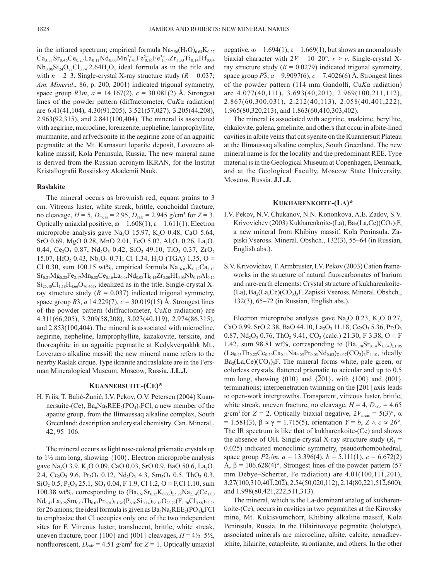in the infrared spectrum; empirical formula  $Na<sub>7.56</sub>(H<sub>3</sub>O)<sub>6.64</sub>K<sub>0.27</sub>$  $\text{Ca}_{3,31}\text{Sr}_{0,46}\text{Ce}_{0,27}\text{La}_{0,11}\text{Nd}_{0,03}\text{Mn}^{2+}_{1,41}\text{Fe}^{2+}_{0,16}\text{Fe}^{3+}_{1,77}\text{Zr}_{3,33}\text{Ti}_{0,14}\text{Hf}_{0,04}$  $Nb_{0.06}Si_{24}O_{72}Cl_{0.74}$  2.64H<sub>2</sub>O, ideal formula as in the title and with  $n = 2-3$ . Single-crystal X-ray structure study  $(R = 0.037)$ ; *Am. Mineral*., 86, p. 200, 2001) indicated trigonal symmetry, space group *R*3*m*, *a* = 14.167(2), *c* = 30.081(2) Å. Strongest lines of the powder pattern (diffractometer, Cu*K*α radiation) are 6.41(41,104), 4.30(91,205), 3.521(57,027), 3.205(44,208), 2.963(92,315), and 2.841(100,404). The mineral is associated with aegirine, microcline, lorenzenite, nepheline, lamprophyllite, murmanite, and arfvedsonite in the aegirine zone of an agpaitic pegmatite at the Mt. Karnasurt loparite deposit, Lovozero alkaline massif, Kola Peninsula, Russia. The new mineral name is derived from the Russian acronym IKRAN, for the Institut Kristallografii Rossiiskoy Akademii Nauk.

### **Raslakite**

The mineral occurs as brownish red, equant grains to 3 cm. Vitreous luster, white streak, brittle, conchoidal fracture, no cleavage,  $H = 5$ ,  $D_{\text{meas}} = 2.95$ ,  $D_{\text{calc}} = 2.945$  g/cm<sup>3</sup> for  $Z = 3$ . Optically uniaxial positive,  $\omega$  = 1.608(1),  $\varepsilon$  = 1.611(1). Electron microprobe analysis gave Na<sub>2</sub>O 15.97, K<sub>2</sub>O 0.48, CaO 5.64, SrO 0.69, MgO 0.28, MnO 2.01, FeO 5.02, Al<sub>2</sub>O<sub>3</sub> 0.26, La<sub>2</sub>O<sub>3</sub> 0.44, Ce<sub>2</sub>O<sub>3</sub> 0.87, Nd<sub>2</sub>O<sub>3</sub> 0.42, SiO<sub>2</sub> 49.10, TiO<sub>2</sub> 0.37, ZrO<sub>2</sub> 15.07, HfO<sub>2</sub> 0.43, Nb<sub>2</sub>O<sub>5</sub> 0.71, Cl 1.34, H<sub>2</sub>O (TGA) 1.35, O  $\equiv$ Cl 0.30, sum 100.15 wt%, empirical formula  $Na<sub>16.02</sub>K<sub>0.32</sub>Ca<sub>3.13</sub>$  $Sr_{0.21}Mg_{0.22}Fe_{2.17}Mn_{0.88}Ce_{0.16}La_{0.08}Nd_{0.08}Ti_{0.14}Zr_{3.80}Hf_{0.06}Nb_{0.17}Al_{0.16}$  $\mathrm{Si}_{25,40}\mathrm{Cl}_{1.18}\mathrm{H}_{4.66}\mathrm{O}_{76,465}$ , idealized as in the title. Single-crystal Xray structure study  $(R = 0.037)$  indicated trigonal symmetry, space group *R*3, *a* 14.229(7), *c* = 30.019(15) Å. Strongest lines of the powder pattern (diffractometer, Cu*K*α radiation) are 4.311(66,205), 3.209(58,208), 3.023(40,119), 2.974(86,315), and 2.853(100,404). The mineral is associated with microcline, aegirine, nepheline, lamprophyllite, kazakovite, terskite, and fluorcaphite in an agpaitic pegmatite at Kedykverpakhk Mt., Loverzero alkaline massif; the new mineral name refers to the nearby Raslak cirque. Type ikranite and raslakite are in the Fersman Mineralogical Museum, Moscow, Russia**. J.L.J.**

### **KUANNERSUITE-(CE)\***

H. Friis, T. Balić-Žunić, I.V. Pekov, O.V. Petersen (2004) Kuannersuite-(Ce),  $Ba<sub>6</sub>Na<sub>2</sub>REE<sub>2</sub>(PO<sub>4</sub>)<sub>6</sub>FCl$ , a new member of the apatite group, from the Ilímaussaq alkaline complex, South Greenland: description and crystal chemistry. Can. Mineral., 42, 95–106.

The mineral occurs as light rose-colored prismatic crystals up to  $1\frac{1}{2}$  mm long, showing  $\{100\}$ . Electron microprobe analysis gave Na<sub>2</sub>O 3.9, K<sub>2</sub>O 0.09, CaO 0.03, SrO 0.9, BaO 50.6, La<sub>2</sub>O<sub>3</sub> 2.4, Ce<sub>2</sub>O<sub>3</sub> 9.6, Pr<sub>2</sub>O<sub>3</sub> 0.12, Nd<sub>2</sub>O<sub>3</sub> 4.3, Sm<sub>2</sub>O<sub>3</sub> 0.5, ThO<sub>2</sub> 0.3,  $SiO_2$ , 0.5, P<sub>2</sub>O<sub>5</sub>, 25.1, SO<sub>3</sub>, 0.04, F 1.9, Cl 1.2, O = F<sub>1</sub>Cl 1.10, sum 100.38 wt%, corresponding to  $(Ba_{5.61}Sr_{0.15}K_{0.03})_{25.79}Na_{2.14}(Ce_{1.00})$  $Nd_{0.43}La_{0.25}Sm_{0.05}Th_{0.02}Pr_{0.01}\Sigma_{1.76}(P_{6.02}Si_{0.14})_{26.16}O_{23.72}(F_{1.70}Cl_{0.58})_{\Sigma2.28}$ for 26 anions; the ideal formula is given as  $Ba_6Na_2REE_2(PO_4)_6FCl$ to emphasize that Cl occupies only one of the two independent sites for F. Vitreous luster, translucent, brittle, white streak, uneven fracture, poor  $\{100\}$  and  $\{001\}$  cleavages,  $H = 4\frac{1}{2} - 5\frac{1}{2}$ , nonfluorescent,  $D_{\text{calc}} = 4.51$  g/cm<sup>3</sup> for  $Z = 1$ . Optically uniaxial negative,  $\omega$  = 1.694(1),  $\varepsilon$  = 1.669(1), but shows an anomalously biaxial character with  $2V = 10-20^{\circ}$ ,  $r > v$ . Single-crystal Xray structure study  $(R = 0.0279)$  indicated trigonal symmetry, space group  $P\overline{3}$ ,  $a = 9.9097(6)$ ,  $c = 7.4026(6)$  Å. Strongest lines of the powder pattern (114 mm Gandolfi, Cu*K*α radiation) are 4.077(40,111), 3.693(40,201), 2.969(100,211,112), 2.867(60,300,031), 2.212(40,113), 2.058(40,401,222), 1.965(80,320,213), and 1.863(60,410,303,402).

The mineral is associated with aegirine, analcime, beryllite, chkalovite, galena, gmelinite, and others that occur in albite-lined cavities in albite veins that cut syenite on the Kuannersuit Plateau at the Ilímaussaq alkaline complex, South Greenland. The new mineral name is for the locality and the predominant REE. Type material is in the Geological Museum at Copenhagen, Denmark, and at the Geological Faculty, Moscow State University, Moscow, Russia. **J.L.J.**

#### **KUKHARENKOITE-(LA)\***

- I.V. Pekov, N.V. Chukanov, N.N. Kononkova, A.E. Zadov, S.V. Krivovichev (2003) Kukharenkoite-(La), Ba<sub>2</sub>(La,Ce)(CO<sub>3</sub>)<sub>3</sub>F, a new mineral from Khibiny massif, Kola Peninsula. Zapiski Vseross. Mineral. Obshch., 132(3), 55–64 (in Russian, English abs.).
- S.V. Krivovichev, T. Armbruster, I.V. Pekov (2003) Cation frameworks in the structure of natural fluorcarbonates of barium and rare-earth elements: Crystal structure of kukharenkoite- (La), Ba2(La,Ce)(CO3)3F. Zapiski Vseross. Mineral. Obshch., 132(3), 65–72 (in Russian, English abs.).

Electron microprobe analysis gave Na<sub>2</sub>O 0.23, K<sub>2</sub>O 0.27, CaO 0.99, SrO 2.38, BaO 44.10, La<sub>2</sub>O<sub>3</sub> 11.18, Ce<sub>2</sub>O<sub>3</sub> 5.36, Pr<sub>2</sub>O<sub>3</sub> 0.87, Nd<sub>2</sub>O<sub>3</sub> 0.76, ThO<sub>2</sub> 9.41, CO<sub>2</sub> (calc.) 21.30, F 3.38, O  $\equiv$  F 1.42, sum 98.81 wt%, corresponding to  $(Ba_{1.78}Sr_{0.14}K_{0.04})_{\Sigma1.96}$  $(La_{0.43}Th_{0.22}Ce_{0.20}Ca_{0.11}Na_{0.05}Pr_{0.03}Nd_{0.03})_{\Sigma1.07}(CO_3)_3F_{1.10}$ , ideally  $Ba_2(La, Ce)(CO_3)$ <sub>3</sub>F. The mineral forms white, pale green, or colorless crystals, flattened prismatic to acicular and up to 0.5 mm long, showing  $\{010\}$  and  $\{\overline{2}01\}$ , with  $\{100\}$  and  $\{001\}$ terminations; interpenetration twinning on the  $[201]$  axis leads to open-work intergrowths. Transparent, vitreous luster, brittle, white streak, uneven fracture, no cleavage,  $H = 4$ ,  $D_{\text{calc}} = 4.65$ g/cm<sup>3</sup> for  $Z = 2$ . Optically biaxial negative,  $2V_{\text{meas}} = 5(3)$ °,  $\alpha$ = 1.581(3), β ≈ γ = 1.715(5), orientation *Y* = *b*, *Z* ∧ *c* ≈ 26°. The IR spectrum is like that of kukharenkoite-(Ce) and shows the absence of OH. Single-crystal X-ray structure study  $(R_1 =$ 0.025) indicated monoclinic symmetry, pseudorhombohedral, space group  $P2_1/m$ ,  $a = 13.396(4)$ ,  $b = 5.111(1)$ ,  $c = 6.672(2)$ Å,  $\beta$  = 106.628(4)°. Strongest lines of the powder pattern (57) mm Debye–Scherrer, Fe radiation) are  $4.01(100,11\overline{1},201)$ ,  $\frac{3.27(100,310,40\overline{1},20\overline{2})}{3.27(100,310,40\overline{1},20\overline{2})}, 2.54(50,020,112), 2.14(80,221,51\overline{2},600),$ and  $1.998(80,42\overline{1},22\overline{2},511,31\overline{3})$ .

The mineral, which is the La-dominant analog of kukharenkoite-(Ce), occurs in cavities in two pegmatites at the Kirovsky mine, Mt. Kukisvumchorr, Khibiny alkaline massif, Kola Peninsula, Russia. In the Hilairitovoye pegmatite (holotype), associated minerals are microcline, albite, calcite, nenadkevichite, hilairite, catapleiite, strontianite, and others. In the other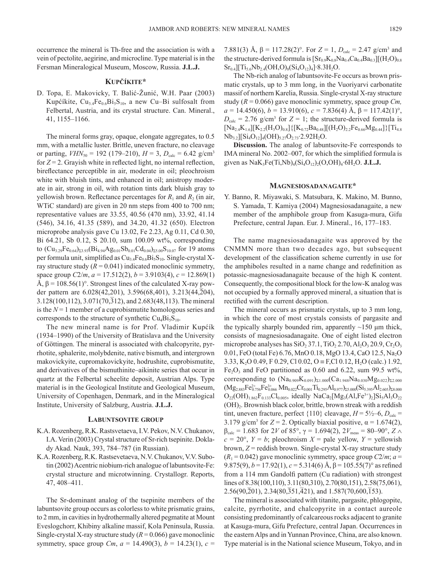occurrence the mineral is Th-free and the association is with a vein of pectolite, aegirine, and microcline. Type material is in the Fersman Mineralogical Museum, Moscow, Russia. **J.L.J.**

# **KUPČÍKITE\***

D. Topa, E. Makovicky, T. Balić-Žunić, W.H. Paar (2003) Kupćíkite,  $Cu_{3.4}Fe_{0.6}Bi_5S_{10}$ , a new Cu–Bi sulfosalt from Felbertal, Austria, and its crystal structure. Can. Mineral., 41, 1155–1166.

The mineral forms gray, opaque, elongate aggregates, to 0.5 mm, with a metallic luster. Brittle, uneven fracture, no cleavage or parting,  $VHN_{50} = 192$  (179–210),  $H = 3$ ,  $D_{\text{calc}} = 6.42$  g/cm<sup>3</sup> for  $Z = 2$ . Grayish white in reflected light, no internal reflection, bireflectance perceptible in air, moderate in oil; pleochroism white with bluish tints, and enhanced in oil; anistropy moderate in air, strong in oil, with rotation tints dark bluish gray to yellowish brown. Reflectance percentages for  $R_1$  and  $R_2$  (in air, WTiC standard) are given in 20 nm steps from 400 to 700 nm; representative values are 33.55, 40.56 (470 nm), 33.92, 41.14 (546), 34.16, 41.35 (589), and 34.20, 41.32 (650). Electron microprobe analysis gave Cu 13.02, Fe 2.23, Ag 0.11, Cd 0.30, Bi 64.21, Sb 0.12, S 20.10, sum 100.09 wt%, corresponding to  $(Cu_{3.29}Fe_{0.64})_{23.93}(Bi_{4.94}Ag_{0.01}Sb_{0.01}Cd_{0.04})_{25.00}S_{10.07}$  for 19 atoms per formula unit, simplified as  $Cu<sub>3.4</sub>Fe<sub>0.6</sub>Bi<sub>5</sub>S<sub>10</sub>$ . Single-crystal Xray structure study  $(R = 0.041)$  indicated monoclinic symmetry, space group  $C2/m$ ,  $a = 17.512(2)$ ,  $b = 3.9103(4)$ ,  $c = 12.869(1)$ Å,  $β = 108.56(1)°$ . Strongest lines of the calculated X-ray powder pattern are  $6.028(42,201)$ ,  $3.596(68,401)$ ,  $3.213(44,204)$ , 3.128(100,112), 3.071(70,312), and 2.683(48,113). The mineral is the  $N = 1$  member of a cuprobismutite homologous series and corresponds to the structure of synthetic  $Cu<sub>4</sub>Bi<sub>5</sub>S<sub>10</sub>$ .

The new mineral name is for Prof. Vladimir Kupćík (1934–1990) of the University of Bratislava and the University of Göttingen. The mineral is associated with chalcopyrite, pyrrhotite, sphalerite, molybdenite, native bismuth, and intergrown makovickyite, cupromakovickyite, hodrushite, cuprobismutite, and derivatives of the bismuthinite–aikinite series that occur in quartz at the Felbertal scheelite deposit, Austrian Alps. Type material is in the Geological Institute and Geological Museum, University of Copenhagen, Denmark, and in the Mineralogical Institute, University of Salzburg, Austria. **J.L.J.**

#### **LABUNTSOVITE GROUP**

- K.A. Rozenberg, R.K. Rastsvetaeva, I.V. Pekov, N.V. Chukanov, I.A. Verin (2003) Crystal structure of Sr-rich tsepinite. Doklady Akad. Nauk, 393, 784–787 (in Russian).
- K.A. Rozenberg, R.K. Rastsevetaeva, N.V. Chukanov, V.V. Subotin (2002) Acentric niobium-rich analogue of labuntsovite-Fe: crystal structure and microtwinning. Crystallogr. Reports, 47, 408–411.

The Sr-dominant analog of the tsepinite members of the labuntsovite group occurs as colorless to white prismatic grains, to 2 mm, in cavities in hydrothermally altered pegmatite at Mount Eveslogchorr, Khibiny alkaline massif, Kola Peninsula, Russia. Single-crystal X-ray structure study  $(R = 0.066)$  gave monoclinic symmetry, space group  $Cm$ ,  $a = 14.490(3)$ ,  $b = 14.23(1)$ ,  $c =$ 

7.881(3) Å,  $\beta = 117.28(2)$ °. For  $Z = 1$ ,  $D_{calc} = 2.47$  g/cm<sup>3</sup> and the structure-derived formula is  $\left[\text{Sr}_{0.9}\text{K}_{0.8}\text{Na}_{0.4}\text{Ca}_{0.4}\text{Ba}_{0.3}\right](\text{H}_2\text{O})_{0.8}$  $Sr<sub>0.4</sub>[[Ti<sub>5.6</sub>Nb<sub>2.4</sub>(OH, O)<sub>8</sub>(Si<sub>4</sub>O<sub>12</sub>)<sub>4</sub>]+8.3H<sub>2</sub>O.$ 

The Nb-rich analog of labuntsovite-Fe occurs as brown prismatic crystals, up to 3 mm long, in the Vuoriyarvi carbonatite massif of northern Karelia, Russia. Single-crystal X-ray structure study (*R* = 0.066) gave monoclinic symmetry, space group *Cm, a* = 14.450(6), *b* = 13.910(6), *c* = 7.836(4) Å, β = 117.42(1)°,  $D_{\text{calc}} = 2.76$  g/cm<sup>3</sup> for  $Z = 1$ ; the structure-derived formula is  $[Na_{2.4}K_{1.6}][K_{2.2}(H_3O)_{0.8}]\{[K_{0.72}Ba_{0.48}][(H_2O)_{2.2}Fe_{0.66}Mg_{0.44}]\}$ [Ti<sub>4.8</sub>]  $Nb_{3.2}$ ][Si<sub>4</sub>O<sub>12</sub>]<sub>4</sub>(OH)<sub>5.27</sub>O<sub>2.73</sub>·2.92H<sub>2</sub>O.

**Discussion.** The analog of labuntsovite-Fe corresponds to IMA mineral No. 2002–007, for which the simplified formula is given as  $NaK_3Fe(Ti,Nb)_{4}(Si_4O_{12})_{2}(O,OH)_4.6H_2O.$  **J.L.J.** 

### **MAGNESIOSADANAGAITE\***

Y. Banno, R. Miyawaki, S. Matsubara, K. Makino, M. Bunno, S. Yamada, T. Kamiya (2004) Magnesiosadanagaite, a new member of the amphibole group from Kasuga-mura, Gifu Prefecture, central Japan. Eur. J. Mineral., 16, 177–183.

The name magnesiosadanagaite was approved by the CNMMN more than two decades ago, but subsequent development of the classification scheme currently in use for the amphiboles resulted in a name change and redefinition as potassic-magnesiosadanagaite because of the high K content. Consequently, the compositional block for the low-K analog was not occupied by a formally approved mineral, a situation that is rectified with the current description.

The mineral occurs as prismatic crystals, up to 3 mm long, in which the core of most crystals consists of pargasite and the typically sharply bounded rim, apparently  $\sim$ 150  $\mu$ m thick, consists of magnesiosadanagaite. One of eight listed electron microprobe analyses has  $SiO<sub>2</sub> 37.1$ , TiO<sub>2</sub> 2.70, Al<sub>2</sub>O<sub>3</sub> 20.9, Cr<sub>2</sub>O<sub>3</sub> 0.01, FeO (total Fe) 6.76, MnO 0.18, MgO 13.4, CaO 12.5, Na<sub>2</sub>O 3.33, K<sub>2</sub>O 0.49, F 0.29, Cl 0.02, O ≡ F,Cl 0.12, H<sub>2</sub>O (calc.) 1.92,  $Fe<sub>2</sub>O<sub>3</sub>$  and FeO partitioned as 0.60 and 6.22, sum 99.5 wt%, corresponding to  $(Na_{0.909}K_{0.091})_{\Sigma1.000}(Ca_{1.948}Na_{0.030}Mg_{0.022})_{\Sigma2.000}$  $(Mg_{2.883}Fe_{0.756}^{2+}Fe_{0.066}^{3+}Mn_{0.022}Cr_{0.001}Ti_{0.295}Al_{0.977})_{\Sigma 5.000}(Si_{5.395}Al_{2.605})_{\Sigma 8.000}$  $O_{22}(OH)_{1.862}F_{0.133}Cl_{0.005}$ , ideally NaCa<sub>2</sub>[Mg<sub>3</sub>(Al,Fe<sup>3+</sup>)<sub>2</sub>]Si<sub>5</sub>Al<sub>3</sub>O<sub>22</sub>  $(OH)<sub>2</sub>$ . Brownish black color, brittle, brown streak with a reddish tint, uneven fracture, perfect  $\{110\}$  cleavage,  $H = 5\frac{1}{2} - 6$ ,  $D_{\text{calc}} =$ 3.179 g/cm<sup>3</sup> for  $Z = 2$ . Optically biaxial positive,  $\alpha = 1.674(2)$ ,  $β_{\text{calc}} = 1.683$  for 2*V* of 85°, γ = 1.694(2), 2*V*<sub>meas</sub> = 80–90°, *Z* ∧  $c = 20^{\circ}$ ,  $Y = b$ ; pleochroism  $X =$  pale yellow,  $Y =$  yellowish brown, *Z* = reddish brown. Single-crystal X-ray structure study  $(R_1 = 0.042)$  gave monoclinic symmetry, space group  $C2/m$ ;  $a =$ 9.875(9),  $b = 17.92(1)$ ,  $c = 5.314(6)$  Å,  $\beta = 105.55(7)$ ° as refined from a 114 mm Gandolfi pattern (Cu radiation) with strongest lines of 8.38(100,110), 3.11(80,310), 2.70(80,151), 2.58(75,061),  $2.56(90,\overline{2}01), 2.34(80,\overline{3}51,\overline{4}21), \text{ and } 1.587(70,600,\overline{1}53).$ 

The mineral is associated with titanite, pargasite, phlogopite, calcite, pyrrhotite, and chalcopyrite in a contact aureole consisting predominantly of calcareous rocks adjacent to granite at Kasuga-mura, Gifu Prefecture, central Japan. Occurrences in the eastern Alps and in Yunnan Province, China, are also known. Type material is in the National science Museum, Tokyo, and in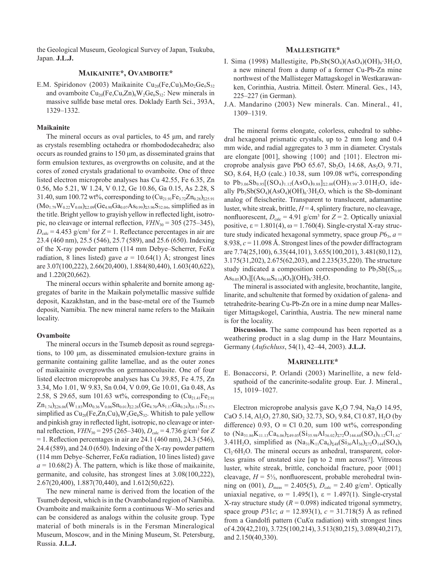the Geological Museum, Geological Survey of Japan, Tsukuba, Japan. **J.L.J.**

# **MAIKAINITE\*, OVAMBOITE\***

E.M. Spiridonov (2003) Maikainite Cu<sub>20</sub>(Fe,Cu)<sub>6</sub>Mo<sub>2</sub>Ge<sub>6</sub>S<sub>32</sub> and ovamboite  $Cu_{20}(Fe,Cu,Zn)_{6}W_{2}Ge_{6}S_{32}$ : New minerals in massive sulfide base metal ores. Doklady Earth Sci., 393A, 1329–1332.

### **Maikainite**

The mineral occurs as oval particles, to 45 μm, and rarely as crystals resembling octahedra or rhombododecahedra; also occurs as rounded grains to 150 μm, as disseminated grains that form emulsion textures, as overgrowths on colusite, and at the cores of zoned crystals gradational to ovamboite. One of three listed electron microprobe analyses has Cu 42.55, Fe 6.35, Zn 0.56, Mo 5.21, W 1.24, V 0.12, Ge 10.86, Ga 0.15, As 2.28, S 31.40, sum 100.72 wt%, corresponding to  $(Cu_{21.91}Fe_{3.72}Zn_{0.28})_{z_{25.91}}$  $(Mo<sub>1.79</sub>W<sub>0.22</sub>V<sub>0.08</sub>)<sub>Σ2.09</sub>(Ge<sub>4.90</sub>Ga<sub>0.07</sub>As<sub>0.99</sub>)<sub>Σ5.96</sub>S<sub>32.04</sub>, simplified as in$ the title. Bright yellow to grayish yellow in reflected light, isotropic, no cleavage or internal reflection,  $VHN_{30} = 305 (275-345)$ ,  $D_{\text{calc}} = 4.453$  g/cm<sup>3</sup> for  $Z = 1$ . Reflectance percentages in air are 23.4 (460 nm), 25.5 (546), 25.7 (589), and 25.6 (650). Indexing of the X-ray powder pattern (114 mm Debye–Scherrer, Fe*K*α radiation, 8 lines listed) gave  $a = 10.64(1)$  Å; strongest lines are 3.07(100,222), 2.66(20,400), 1.884(80,440), 1.603(40,622), and 1.220(20,662).

The mineral occurs within sphalerite and bornite among aggregates of barite in the Maikain polymetallic massive sulfide deposit, Kazakhstan, and in the base-metal ore of the Tsumeb deposit, Namibia. The new mineral name refers to the Maikain locality.

### **Ovamboite**

The mineral occurs in the Tsumeb deposit as round segregations, to 100 μm, as disseminated emulsion-texture grains in germanite containing gallite lamellae, and as the outer zones of maikainite overgrowths on germanocolusite. One of four listed electron microprobe analyses has Cu 39.85, Fe 4.75, Zn 3.34, Mo 1.01, W 9.83, Sn 0.04, V 0.09, Ge 10.01, Ga 0.48, As 2.58, S 29.65, sum 101.63 wt%, corresponding to  $(Cu_{21.41}Fe_{2.91})$  $Zn_{1.74}$ )<sub>Σ26.06</sub> (W<sub>1.83</sub>Mo<sub>0.36</sub>V<sub>0.06</sub>Sn<sub>0.01</sub>)<sub>Σ2.26</sub> (Ge<sub>4.70</sub>As<sub>1.17</sub>Ga<sub>0.24</sub>)<sub>Σ6.11</sub>S<sub>31.57</sub>, simplified as  $Cu_{20}(Fe, Zn, Cu)_{6}W_{2}Ge_{6}S_{32}$ . Whitish to pale yellow and pinkish gray in reflected light, isotropic, no cleavage or internal reflection,  $VHN_{30} = 295 (265-340)$ ,  $D_{\text{calc}} = 4.736$  g/cm<sup>3</sup> for *Z*  $= 1.$  Reflection percentages in air are 24.1 (460 nm), 24.3 (546), 24.4 (589), and 24.0 (650). Indexing of the X-ray powder pattern (114 mm Debye–Scherrer, Fe*K*α radiation, 10 lines listed) gave  $a = 10.68(2)$  Å. The pattern, which is like those of maikainite, germanite, and colusite, has strongest lines at 3.08(100,222), 2.67(20,400), 1.887(70,440), and 1.612(50,622).

The new mineral name is derived from the location of the Tsumeb deposit, which is in the Ovamboland region of Namibia. Ovamboite and maikainite form a continuous W–Mo series and can be considered as analogs within the colusite group. Type material of both minerals is in the Fersman Mineralogical Museum, Moscow, and in the Mining Museum, St. Petersburg, Russia. **J.L.J.**

# **MALLESTIGITE\***

- I. Sima (1998) Mallestigite,  $Pb_3Sb(SO_4)(AsO_4)(OH)_6.3H_2O$ , a new mineral from a dump of a former Cu-Pb-Zn mine northwest of the Mallisteger Mattagskogel in Westkarawanken, Corinthia, Austria. Mitteil. Österr. Mineral. Ges., 143, 225–227 (in German).
- J.A. Mandarino (2003) New minerals. Can. Mineral., 41, 1309–1319.

The mineral forms elongate, colorless, euhedral to subhedral hexagonal prismatic crystals, up to 2 mm long and 0.4 mm wide, and radial aggregates to 3 mm in diameter. Crystals are elongate [001], showing {100} and {101}. Electron microprobe analysis gave PbO 65.67,  $Sb_2O_5$  14.68, As<sub>2</sub>O<sub>5</sub> 9.71, SO3 8.64, H2O (calc.) 10.38, sum 109.08 wt%, corresponding to  $Pb_{3.06}Sb_{0.95}[(SO_4)_{1.12}(AsO_4)_{0.88}]_{\Sigma2.00}(OH)_{5.99}\cdot3.01H_2O$ , ideally  $Pb_3Sb(SO_4)(AsO_4)(OH)_6·3H_2O$ , which is the Sb-dominant analog of fleischerite. Transparent to translucent, adamantine luster, white streak, brittle,  $H = 4$ , splintery fracture, no cleavage, nonfluorescent,  $D_{\text{calc}} = 4.91$  g/cm<sup>3</sup> for  $Z = 2$ . Optically uniaxial positive,  $\varepsilon$  = 1.801(4),  $\omega$  = 1.760(4). Single-crystal X-ray structure study indicated hexagonal symmetry, space group  $P6_3$ ,  $a =$ 8.938, *c* = 11.098 Å. Strongest lines of the powder diffractogram are 7.74(25,100), 6.35(44,101), 3.655(100,201), 3.481(80,112), 3.175(31,202), 2.675(62,203), and 2.235(35,220). The structure study indicated a composition corresponding to  $Pb_3Sb[(S_{0.95}$  $As<sub>0.05</sub>$ ) $O<sub>4</sub>$ ][(As<sub>0.86</sub>S<sub>0.14</sub>) $O<sub>4</sub>$ ](OH)<sub>6</sub>·3H<sub>2</sub>O.

The mineral is associated with anglesite, brochantite, langite, linarite, and schultenite that formed by oxidation of galena- and tetrahedrite-bearing Cu-Pb-Zn ore in a mine dump near Mallestiger Mittagskogel, Carinthia, Austria. The new mineral name is for the locality.

**Discussion.** The same compound has been reported as a weathering product in a slag dump in the Harz Mountains, Germany (*Aufschluss*, 54(1), 42–44, 2003). **J.L.J.**

# **MARINELLITE\***

E. Bonaccorsi, P. Orlandi (2003) Marinellite, a new feldspathoid of the cancrinite-sodalite group. Eur. J. Mineral., 15, 1019–1027.

Electron microprobe analysis gave K<sub>2</sub>O 7.94, Na<sub>2</sub>O 14.95, CaO 5.14, Al<sub>2</sub>O<sub>3</sub> 27.80, SiO<sub>2</sub> 32.73, SO<sub>3</sub> 9.84, Cl 0.87, H<sub>2</sub>O (by difference) 0.93, O  $\equiv$  Cl 0.20, sum 100 wt%, corresponding to  $(Na_{31.86}K_{11.13}Ca_{6.06}S_{49.05}(Si_{35.98}Al_{36.02})_{272}O_{144.60}(SO_4)_{8.12}Cl_{1.62}$ 3.41H<sub>2</sub>O, simplified as  $(Na_{31}K_{11}Ca_6)_{248}(Si_{36}Al_{36})_{272}O_{144}(SO_4)_{8}$  $Cl_2·6H_2O$ . The mineral occurs as anhedral, transparent, colorless grains of unstated size [up to 2 mm across?]. Vitreous luster, white streak, brittle, conchoidal fracture, poor {001} cleavage,  $H = 5\frac{1}{2}$ , nonfluorescent, probable merohedral twinning on (001),  $D_{\text{meas}} = 2.405(5)$ ,  $D_{\text{calc}} = 2.40 \text{ g/cm}^3$ . Optically uniaxial negative,  $ω = 1.495(1)$ ,  $ε = 1.497(1)$ . Single-crystal X-ray structure study  $(R = 0.098)$  indicated trigonal symmetry, space group *P*31*c*; *a* = 12.893(1), *c* = 31.718(5) Å as refined from a Gandolfi pattern (Cu*K*α radiation) with strongest lines of 4.20(42,210), 3.725(100,214), 3.513(80,215), 3.089(40,217), and 2.150(40,330).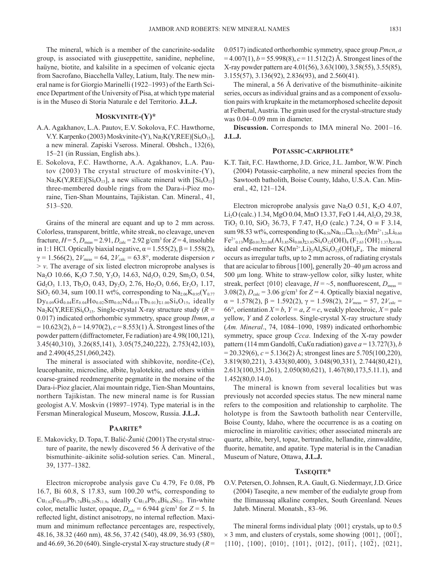The mineral, which is a member of the cancrinite-sodalite group, is associated with giuseppettite, sanidine, nepheline, haüyne, biotite, and kalsilite in a specimen of volcanic ejecta from Sacrofano, Biacchella Valley, Latium, Italy. The new mineral name is for Giorgio Marinelli (1922–1993) of the Earth Science Department of the University of Pisa, at which type material is in the Museo di Storia Naturale e del Territorio. **J.L.J.**

# **MOSKVINITE-(Y)\***

- A.A. Agakhanov, L.A. Pautov, E.V. Sokolova, F.C. Hawthorne, V.Y. Karpenko (2003) Moskvinite-(Y), Na<sub>2</sub>K(Y,REE)[Si<sub>6</sub>O<sub>15</sub>], a new mineral. Zapiski Vseross. Mineral. Obshch., 132(6), 15–21 (in Russian, English abs.).
- E. Sokolova, F.C. Hawthorne, A.A. Agakhanov, L.A. Pautov (2003) The crystal structure of moskvinite-(Y),  $Na_2K(Y,REE)[Si_6O_{15}]$ , a new silicate mineral with  $[Si_6O_{15}]$ three-membered double rings from the Dara-i-Pioz moraine, Tien-Shan Mountains, Tajikistan. Can. Mineral., 41, 513–520.

Grains of the mineral are equant and up to 2 mm across. Colorless, transparent, brittle, white streak, no cleavage, uneven fracture,  $H = 5$ ,  $D_{\text{meas}} = 2.91$ ,  $D_{\text{calc}} = 2.92$  g/cm<sup>3</sup> for  $Z = 4$ , insoluble in 1:1 HCl. Optically biaxial negative,  $\alpha$  = 1.555(2),  $\beta$  = 1.558(2),  $γ = 1.566(2), 2V_{meas} = 64, 2V_{calc} = 63.8°$ , moderate dispersion *r*  $> v$ . The average of six listed electron microprobe analyses is Na<sub>2</sub>O 10.66, K<sub>2</sub>O 7.50, Y<sub>2</sub>O<sub>3</sub> 14.63, Nd<sub>2</sub>O<sub>3</sub> 0.29, Sm<sub>2</sub>O<sub>3</sub> 0.54,  $Gd_2O_3$  1.13, Tb<sub>2</sub>O<sub>3</sub> 0.43, Dy<sub>2</sub>O<sub>3</sub> 2.76, Ho<sub>2</sub>O<sub>3</sub> 0.66, Er<sub>2</sub>O<sub>3</sub> 1.17,  $\rm SiO_2$  60.34, sum 100.11 wt%, corresponding to  $\rm Na_{2.06}K_{0.95}(Y_{0.77})$  $Dy_{0.09}Gd_{0.04}Er_{0.04}Ho_{0.02}Sm_{0.02}Nd_{0.01}Tb_{0.01})_{\Sigma1.00}Si_6O_{15}$ , ideally  $Na<sub>2</sub>K(Y,REE)Si<sub>6</sub>O<sub>15</sub>$ . Single-crystal X-ray structure study ( $R =$ 0.017) indicated orthorhombic symmetry, space group *Ibmm*, *a*  $= 10.623(2)$ ,  $b = 14.970(2)$ ,  $c = 8.553(1)$  Å. Strongest lines of the powder pattern (diffractometer, Fe radiation) are 4.98(100,121), 3.45(40,310), 3.26(85,141), 3.05(75,240,222), 2.753(42,103), and 2.490(45,251,060,242).

The mineral is associated with shibkovite, nordite-(Ce), leucophanite, microcline, albite, hyalotekite, and others within coarse-grained reedmergnerite pegmatite in the moraine of the Dara-i-Pioz glacier, Alai mountain ridge, Tien-Shan Mountains, northern Tajikistan. The new mineral name is for Russian geologist A.V. Moskvin (19897–1974). Type material is in the Fersman Mineralogical Museum, Moscow, Russia. **J.L.J.**

### **PAARITE\***

E. Makovicky, D. Topa, T. Balić-Žunić (2001) The crystal structure of paarite, the newly discovered 56 Å derivative of the bismuthinite–aikinite solid-solution series. Can. Mineral., 39, 1377–1382.

Electron microprobe analysis gave Cu 4.79, Fe 0.08, Pb 16.7, Bi 60.8, S 17.83, sum 100.20 wt%, corresponding to  $Cu_{1.62}Fe_{0.03}Pb_{1.74}Bi_{6.29}S_{11.9}$ , ideally  $Cu_{1.6}Pb_{1.6}Bi_{6.4}Si_{12}$ . Tin-white color, metallic luster, opaque,  $D_{\text{calc}} = 6.944 \text{ g/cm}^3$  for  $Z = 5$ . In reflected light, distinct anisotropy, no internal reflection. Maximum and minimum reflectance percentages are, respectively, 48.16, 38.32 (460 nm), 48.56, 37.42 (540), 48.09, 36.93 (580), and 46.69, 36.20 (640). Single-crystal X-ray structure study  $(R =$ 

0.0517) indicated orthorhombic symmetry, space group *Pmcn*, *a*  $= 4.007(1)$ ,  $b = 55.998(8)$ ,  $c = 11.512(2)$  Å. Strongest lines of the X-ray powder pattern are 4.01(56), 3.63(100), 3.58(55), 3.55(85), 3.155(57), 3.136(92), 2.836(93), and 2.560(41).

The mineral, a 56 Å derivative of the bismuthinite–aikinite series, occurs as individual grains and as a component of exsolution pairs with krupkaite in the metamorphosed scheelite deposit at Felbertal, Austria. The grain used for the crystal-structure study was 0.04–0.09 mm in diameter.

**Discussion.** Corresponds to IMA mineral No. 2001–16. **J.L.J.**

### **POTASSIC-CARPHOLITE\***

K.T. Tait, F.C. Hawthorne, J.D. Grice, J.L. Jambor, W.W. Pinch (2004) Potassic-carpholite, a new mineral species from the Sawtooth batholith, Boise County, Idaho, U.S.A. Can. Mineral., 42, 121–124.

Electron microprobe analysis gave Na<sub>2</sub>O 0.51, K<sub>2</sub>O 4.07, Li<sub>2</sub>O (calc.) 1.34, MgO 0.04, MnO 13.37, FeO 1.44, Al<sub>2</sub>O<sub>3</sub> 29.38, TiO<sub>2</sub> 0.10, SiO<sub>2</sub> 36.73, F 7.47, H<sub>2</sub>O (calc.) 7.24, O  $\equiv$  F 3.14, sum 98.53 wt%, corresponding to  $(K_{0.56}Na_{0.11}\square_{0.33})_{\Sigma1}(Mn^{2+1.26}Li_{0.60})$  $Fe^{2+}$ <sub>0.13</sub>Mg<sub>0.01</sub>)<sub>Σ2.00</sub>(Al<sub>3.85</sub>Si<sub>0.08</sub>)<sub>Σ3.93</sub>Si<sub>4</sub>O<sub>12</sub>(OH)<sub>4</sub> (F<sub>2.63</sub>{OH}<sub>1.37</sub>)<sub>Σ4.00</sub>, ideal end-member  $K(Mn^{2+},Li)_{2}Al_{4}Si_{4}O_{12}(OH)_{4}F_{4}$ . The mineral occurs as irregular tufts, up to 2 mm across, of radiating crystals that are acicular to fibrous [100], generally 20–40 μm across and 500 μm long. White to straw-yellow color, silky luster, white streak, perfect  $\{010\}$  cleavage,  $H = -5$ , nonfluorescent,  $D_{\text{meas}} =$ 3.08(2),  $D_{\text{calc}} = 3.06$  g/cm<sup>3</sup> for  $Z = 4$ . Optically biaxial negative,  $\alpha = 1.578(2), \beta = 1.592(2), \gamma = 1.598(2), 2V_{meas} = 57, 2V_{calc} =$ 66°, orientation  $X = b$ ,  $Y = a$ ,  $Z = c$ , weakly pleochroic,  $X =$  pale yellow, *Y* and *Z* colorless. Single-crystal X-ray structure study (*Am. Mineral*., 74, 1084–1090, 1989) indicated orthorhombic symmetry, space group *Ccca*. Indexing of the X-ray powder pattern (114 mm Gandolfi, Cu*K* $\alpha$  radiation) gave  $a = 13.727(3)$ , *b*  $= 20.329(6)$ ,  $c = 5.136(2)$  Å; strongest lines are 5.705(100,220), 3.819(80,221), 3.433(80,400), 3.048(90,331), 2.744(80,421), 2.613(100,351,261), 2.050(80,621), 1.467(80,173,5.11.1), and 1.452(80,0.14.0).

The mineral is known from several localities but was previously not accorded species status. The new mineral name refers to the composition and relationship to carpholite. The holotype is from the Sawtooth batholith near Centerville, Boise County, Idaho, where the occurrence is as a coating on microcline in miarolitic cavities; other associated minerals are quartz, albite, beryl, topaz, bertrandite, hellandite, zinnwaldite, fluorite, hematite, and apatite. Type material is in the Canadian Museum of Nature, Ottawa, **J.L.J.**

### **TASEQITE\***

O.V. Petersen, O. Johnsen, R.A. Gault, G. Niedermayr, J.D. Grice (2004) Taseqite, a new member of the eudialyte group from the Ilímaussaq alkaline complex, South Greenland. Neues Jahrb. Mineral. Monatsh., 83–96.

The mineral forms individual platy {001} crystals, up to 0.5  $\times$  3 mm, and clusters of crystals, some showing  $\{001\}$ ,  $\{00\}$ ,  $\{110\}$ ,  $\{100\}$ ,  $\{010\}$ ,  $\{101\}$ ,  $\{012\}$ ,  $\{01\overline{1}\}$ ,  $\{10\overline{2}\}$ ,  $\{021\}$ ,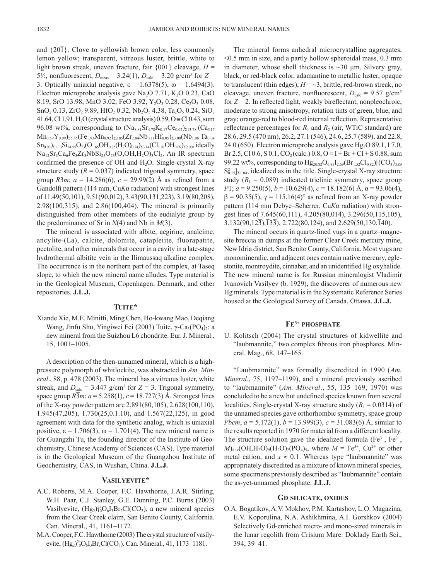and  $\{20\bar{1}\}$ . Clove to yellowish brown color, less commonly lemon yellow; transparent, vitreous luster, brittle, white to light brown streak, uneven fracture, fair  $\{001\}$  cleavage,  $H =$ 5<sup>1</sup>/<sub>2</sub>, nonfluorescent,  $D_{\text{meas}} = 3.24(1)$ ,  $D_{\text{calc}} = 3.20$  g/cm<sup>3</sup> for  $Z =$ 3. Optically uniaxial negative,  $\varepsilon = 1.6378(5)$ ,  $\omega = 1.6494(3)$ . Electron microprobe analysis gave Na<sub>2</sub>O 7.71, K<sub>2</sub>O 0.23, CaO 8.19, SrO 13.98, MnO 3.02, FeO 3.92, Y<sub>2</sub>O<sub>3</sub> 0.28, Ce<sub>2</sub>O<sub>3</sub> 0.08,  $SnO<sub>2</sub> 0.13, ZrO<sub>2</sub> 9.89, HfO<sub>2</sub> 0.32, Nb<sub>2</sub>O<sub>5</sub> 4.38, Ta<sub>2</sub>O<sub>5</sub> 0.24, SiO<sub>2</sub>$ 41.64, Cl 1.91, H<sub>2</sub>O (crystal structure analysis)  $0.59$ , O  $\equiv$  Cl 0.43, sum 96.08 wt%, corresponding to  $(Na_{8.81}Sr_{4.78}K_{0.17}Ce_{0.02})_{\Sigma13.78}$  (Ca<sub>5.17</sub>)  $Mn_{0.59}Y_{0.09}^{\text{}}\Sigma_{5.85}$ (Fe<sub>1.93</sub>Mn<sub>0.92</sub>)<sub>Σ2.85</sub>(Zr<sub>2.84</sub>Nb<sub>0.11</sub>Hf<sub>0.05</sub>)<sub>Σ3.00</sub>(Nb<sub>1.06</sub> Ta<sub>0.04</sub>  $Sn_{0.03})_{\Sigma1.13}Si_{24.55}O_{73}(O_{1.65}OH_{0.75}(H_2O)_{0.74})_{\Sigma3.14}(Cl_{1.91}OH_{0.09})_{\Sigma2.00}$ , ideally Na<sub>12</sub>Sr<sub>3</sub>Ca<sub>6</sub>Fe<sub>3</sub>Zr<sub>3</sub>NbSi<sub>25</sub>O<sub>73</sub>(O,OH,H<sub>2</sub>O)<sub>3</sub>Cl<sub>2</sub>. An IR spectrum confirmed the presence of OH and  $H_2O$ . Single-crystal X-ray structure study  $(R = 0.037)$  indicated trigonal symmetry, space group *R*3*m*;  $a = 14.286(6)$ ,  $c = 29.99(2)$  Å as refined from a Gandolfi pattern (114 mm, Cu*K*α radiation) with strongest lines of 11.49(50,101), 9.51(90,012), 3.43(90,131,223), 3.19(80,208), 2.98(100,315), and 2.86(100,404). The mineral is primarily distinguished from other members of the eudialyte group by the predominance of Sr in *N*(4) and Nb in *M*(3).

The mineral is associated with albite, aegirine, analcime, ancylite-(La), calcite, dolomite, catapleiite, fluorapatite, pectolite, and other minerals that occur in a cavity in a late-stage hydrothermal albitite vein in the Ilímaussaq alkaline complex. The occurrence is in the northern part of the complex, at Taseq slope, to which the new mineral name alludes. Type material is in the Geological Museum, Copenhagen, Denmark, and other repositories. **J.L.J.**

#### **TUITE\***

Xiande Xie, M.E. Minitti, Ming Chen, Ho-kwang Mao, Deqiang Wang, Jinfu Shu, Yingiwei Fei (2003) Tuite, γ-Ca<sub>3</sub>(PO<sub>4</sub>)<sub>2</sub>: a new mineral from the Suizhou L6 chondrite. Eur. J. Mineral., 15, 1001–1005.

A description of the then-unnamed mineral, which is a highpressure polymorph of whitlockite, was abstracted in *Am. Mineral*., 88, p. 478 (2003). The mineral has a vitreous luster, white streak, and  $D_{\text{calc}} = 3.447$  g/cm<sup>3</sup> for  $Z = 3$ . Trigonal symmetry, space group  $R\overline{3}m$ ;  $a = 5.258(1)$ ,  $c = 18.727(3)$  Å. Strongest lines of the X-ray powder pattern are 2.891(80,105), 2.628(100,110), 1.945(47,205), 1.730(25,0.1.10), and 1.567(22,125), in good agreement with data for the synthetic analog, which is uniaxial positive,  $\varepsilon = 1.706(3)$ ,  $\omega = 1.701(4)$ . The new mineral name is for Guangzhi Tu, the founding director of the Institute of Geochemistry, Chinese Academy of Sciences (CAS). Type material is in the Geological Museum of the Guangzhou Institute of Geochemistry, CAS, in Wushan, China. **J.L.J.**

#### **VASILYEVITE\***

- A.C. Roberts, M.A. Cooper, F.C. Hawthorne, J.A.R. Stirling, W.H. Paar, C.J. Stanley, G.E. Dunning, P.C. Burns (2003) Vasilyevite,  $(Hg_2)^{2+}_{10}O_6I_3Br_2Cl(CO_3)$ , a new mineral species from the Clear Creek claim, San Benito County, California. Can. Mineral., 41, 1161–1172.
- M.A. Cooper, F.C. Hawthorne (2003) The crystal structure of vasilyevite,  $(Hg_2)^{2+}_{10}O_6I_3Br_2Cl(CO_3)$ . Can. Mineral., 41, 1173–1181.

The mineral forms anhedral microcrystalline aggregates, <0.5 mm in size, and a partly hollow spheroidal mass, 0.3 mm in diameter, whose shell thickness is  $\sim$ 30  $\mu$ m. Silvery gray, black, or red-black color, adamantine to metallic luster, opaque to translucent (thin edges),  $H = \sim 3$ , brittle, red-brown streak, no cleavage, uneven fracture, nonfluorescent,  $D_{\text{calc}} = 9.57 \text{ g/cm}^3$ for  $Z = 2$ . In reflected light, weakly bireflectant, nonpleochroic, moderate to strong anisotropy, rotation tints of green, blue, and gray; orange-red to blood-red internal reflection. Representative reflectance percentages for  $R_1$  and  $R_2$  (air, WTiC standard) are 28.6, 29.5 (470 nm), 26.2, 27.1 (546), 24.6, 25.7 (589), and 22.8, 24.0 (650). Electron microprobe analysis gave  $Hg_2O$  89.1, I 7.0, Br 2.5, Cl 0.6, S 0.1, CO<sub>2</sub> (calc.) 0.8, O = I + Br + Cl + S 0.88, sum 99.22 wt%, corresponding to  $Hg_{20.82}^{1+}O_{6.85}I_{2.69}(Br_{1.52}Cl_{0.82})[(CO_3)_{0.89}]$  $S_{0.15}^{2-}$ <sub>21.04</sub>, idealized as in the title. Single-crystal X-ray structure study  $(R_1 = 0.089)$  indicated triclinic symmetry, space group *P*<sub>1</sub>; *a* = 9.250(5), *b* = 10.629(4), *c* = 18.182(6) Å,  $\alpha$  = 93.06(4),  $β = 90.35(5)$ ,  $γ = 115.16(4)°$  as refined from an X-ray powder pattern (114 mm Debye–Scherrer, Cu*K*α radiation) with strongest lines of 7.645(60, $\overline{111}$ , 4.205(80,01 $\overline{4}$ ), 3.296(50, $\overline{115}$ ,105),  $3.132(90,12\overline{3}), \overline{133}), 2.722(80,124),$  and  $2.629(50,130,140)$ .

The mineral occurs in quartz-lined vugs in a quartz–magnesite breccia in dumps at the former Clear Creek mercury mine, New Idria district, San Benito County, California. Most vugs are monomineralic, and adjacent ones contain native mercury, eglestonite, montroydite, cinnabar, and an unidentified Hg oxyhalide. The new mineral name is for Russian mineralogist Vladimir Ivanovich Vasilyev (b. 1929), the discoverer of numerous new Hg minerals. Type material is in the Systematic Reference Series housed at the Geological Survey of Canada, Ottawa. **J.L.J.**

# **FE3+ PHOSPHATE**

U. Kolitsch (2004) The crystal structures of kidwellite and "laubmannite," two complex fibrous iron phosphates. Mineral. Mag., 68, 147–165.

"Laubmannite" was formally discredited in 1990 (*Am. Mineral*., 75, 1197–1199), and a mineral previously ascribed to "laubmannite" (*Am. Mineral*., 55, 135–169, 1970) was concluded to be a new but undefined species known from several localities. Single-crystal X-ray structure study  $(R_1 = 0.0314)$  of the unnamed species gave orthorhombic symmetry, space group *Pbcm*, *a* = 5.172(1), *b* = 13.999(3), *c* = 31.083(6) Å, similar to the results reported in 1970 for material from a different locality. The structure solution gave the idealized formula ( $Fe^{3+}$ ,  $Fe^{2+}$ ,  $M$ <sub>8+*x*</sub>(OH,H<sub>2</sub>O)<sub>9</sub>(H<sub>2</sub>O)<sub>2</sub>(PO<sub>4</sub>)<sub>5</sub>, where  $M = \text{Fe}^{3+}$ , Cu<sup>2+</sup> or other metal cation, and  $x \approx 0.1$ . Whereas type "laubmannite" was appropriately discredited as a mixture of known mineral species, some specimens previously described as "laubmannite" contain the as-yet-unnamed phosphate. **J.L.J.**

#### **GD SILICATE, OXIDES**

O.A. Bogatikov, A.V. Mokhov, P.M. Kartashov, L.O. Magazina, E.V. Koporulina, N.A. Ashikhmina, A.I. Gorshkov (2004) Selectively Gd-enriched micro- and mono-sized minerals in the lunar regolith from Crisium Mare. Doklady Earth Sci., 394, 39–41.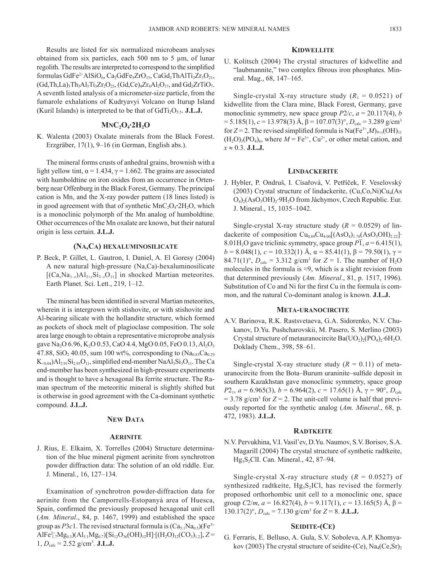Results are listed for six normalized microbeam analyses obtained from six particles, each 500 nm to 5 µm, of lunar regolith. The results are interpreted to correspond to the simplified formulas GdFe<sup>2+</sup>AlSiO<sub>6</sub>, Ca<sub>2</sub>GdFe<sub>5</sub>ZrO<sub>15</sub>, CaGd<sub>3</sub>ThAlTi<sub>3</sub>Zr<sub>3</sub>O<sub>21</sub>,  $(Gd, Th, La)$ <sub>3</sub>Th<sub>3</sub>Al<sub>3</sub>Ti<sub>3</sub>Zr<sub>2</sub>O<sub>25</sub>,  $(Gd, Ce)$ <sub>4</sub>Zr<sub>4</sub>Al<sub>2</sub>O<sub>17</sub>, and  $Gd$ <sub>2</sub>ZrTiO<sub>7</sub>. A seventh listed analysis of a micrometer-size particle, from the fumarole exhalations of Kudryavyi Volcano on Iturup Island (Kuril Islands) is interpreted to be that of  $GdTi<sub>2</sub>O<sub>5.5</sub>$ . **J.L.J.** 

### **MNC2O4·2H2O**

K. Walenta (2003) Oxalate minerals from the Black Forest. Erzgräber, 17(1), 9–16 (in German, English abs.).

The mineral forms crusts of anhedral grains, brownish with a light yellow tint,  $\alpha$  = 1.434,  $\gamma$  = 1.662. The grains are associated with humboldtine on iron oxides from an occurrence in Ortenberg near Offenburg in the Black Forest, Germany. The principal cation is Mn, and the X-ray powder pattern (18 lines listed) is in good agreement with that of synthetic MnC<sub>2</sub>O<sub>4</sub>**·**2H<sub>2</sub>O, which is a monoclinic polymorph of the Mn analog of humboldtine. Other occurrences of the Mn oxalate are known, but their natural origin is less certain. **J.L.J.**

### **(NA,CA) HEXALUMINOSILICATE**

P. Beck, P. Gillet, L. Gautron, I. Daniel, A. El Goresy (2004) A new natural high-pressure (Na,Ca)-hexaluminosilicate  $[(Ca<sub>x</sub>Na<sub>1-x</sub>)A<sub>3+x</sub>Si<sub>3-x</sub>O<sub>11</sub>]$  in shocked Martian meteorites. Earth Planet. Sci. Lett., 219, 1–12.

The mineral has been identified in several Martian meteorites, wherein it is intergrown with stishovite, or with stishovite and Al-bearing silicate with the hollandite structure, which formed as pockets of shock melt of plagioclase composition. The sole area large enough to obtain a representative microprobe analysis gave Na<sub>2</sub>O 6.96, K<sub>2</sub>O 0.53, CaO 4.4, MgO 0.05, FeO 0.13, Al<sub>2</sub>O<sub>3</sub> 47.88, SiO<sub>2</sub> 40.05, sum 100 wt%, corresponding to  $(Na_{0.83}Ca_{0.29})$  $K_{\leq 0.04}$ )Al<sub>2.91</sub>Si<sub>2.95</sub>O<sub>11</sub>, simplified end-member NaAl<sub>3</sub>Si<sub>3</sub>O<sub>11</sub>. The Ca end-member has been synthesized in high-pressure experiments and is thought to have a hexagonal Ba ferrite structure. The Raman spectrum of the meteoritic mineral is slightly shifted but is otherwise in good agreement with the Ca-dominant synthetic compound. **J.L.J.**

#### **NEW DATA**

#### **AERINITE**

J. Rius, E. Elkaim, X. Torrelles (2004) Structure determination of the blue mineral pigment aerinite from synchrotron powder diffraction data: The solution of an old riddle. Eur. J. Mineral., 16, 127–134.

Examination of synchrotron powder-diffraction data for aerinite from the Camporrells-Estopanyà area of Huesca, Spain, confirmed the previously proposed hexagonal unit cell (*Am. Mineral*., 84, p. 1467, 1999) and established the space group as  $P3c1$ . The revised structural formula is  $(Ca_{5.1}Na_{0.5})(Fe^{3+}$  $\text{AIF}e_{1.7}^{2+}\text{Mg}_{0.3}(\text{Al}_{5.1}\text{Mg}_{0.7})[\text{Si}_{12}\text{O}_{36}(\text{OH})_{12}\text{H}]\cdot[(\text{H}_2\text{O})_{12}(\text{CO}_3)_{1.2}], Z=$  $1, D_{calc} = 2.52$  g/cm<sup>3</sup>. **J.L.J.** 

#### **KIDWELLITE**

U. Kolitsch (2004) The crystal structures of kidwellite and "laubmannite," two complex fibrous iron phosphates. Mineral. Mag., 68, 147–165.

Single-crystal X-ray structure study  $(R_1 = 0.0521)$  of kidwellite from the Clara mine, Black Forest, Germany, gave monoclinic symmetry, new space group  $P2/c$ ,  $a = 20.117(4)$ , *b*  $= 5.185(1), c = 13.978(3)$  Å,  $\beta = 107.07(3)$ °,  $D_{\text{calc}} = 3.289$  g/cm<sup>3</sup> for  $Z = 2$ . The revised simplified formula is Na(Fe<sup>3+</sup>,*M*)<sub>9+*x*</sub>(OH)<sub>11</sub>  $(H_2O)_3(PO_4)_6$ , where  $M = Fe^{3+}$ ,  $Cu^{2+}$ , or other metal cation, and  $x \approx 0.3$ . **J.L.J.** 

### **LINDACKERITE**

J. Hybler, P. Ondruš, I. Císařová, V. Petříček, F. Veselovský (2003) Crystal structure of lindackerite,  $(Cu, Co, Ni)Cu<sub>4</sub>(As$ O<sub>4</sub>)<sub>2</sub>(AsO<sub>3</sub>OH)<sub>2</sub>·9H<sub>2</sub>O from Jáchymov, Czech Republic. Eur. J. Mineral., 15, 1035–1042.

Single-crystal X-ray structure study  $(R = 0.0529)$  of lindackerite of composition  $Cu<sub>0.89</sub>Cu<sub>4.00</sub>[(AsO<sub>4</sub>)<sub>1.78</sub>(AsO<sub>3</sub>OH)<sub>2.22</sub>]·$  $8.01H_2O$  gave triclinic symmetry, space group  $P\overline{1}$ ,  $a = 6.415(1)$ ,  $b = 8.048(1), c = 10.332(1)$  Å,  $\alpha = 85.41(1), \beta = 79.50(1), \gamma =$ 84.71(1)°,  $D_{\text{calc}} = 3.312 \text{ g/cm}^3 \text{ for } Z = 1$ . The number of H<sub>2</sub>O molecules in the formula is  $\approx$ 9, which is a slight revision from that determined previously (*Am. Mineral*., 81, p. 1517, 1996). Substitution of Co and Ni for the first Cu in the formula is common, and the natural Co-dominant analog is known. **J.L.J.**

#### **META-URANOCIRCITE**

A.V. Barinova, R.K. Rastsvetaeva, G.A. Sidorenko, N.V. Chukanov, D.Yu. Pushcharovskii, M. Pasero, S. Merlino (2003) Crystal structure of metauranocircite  $Ba(UO<sub>2</sub>)(PO<sub>4</sub>)$ , 6H<sub>2</sub>O. Doklady Chem., 398, 58–61.

Single-crystal X-ray structure study  $(R = 0.11)$  of metauranocircite from the Bota–Burum uraninite–sulfide deposit in southern Kazakhstan gave monoclinic symmetry, space group *P*<sub>21</sub>, *a* = 6.965(3), *b* = 6.964(2), *c* = 17.65(1) Å, γ = 90°, *D*<sub>calc</sub>  $=$  3.78 g/cm<sup>3</sup> for  $Z = 2$ . The unit-cell volume is half that previously reported for the synthetic analog (*Am. Mineral*., 68, p. 472, 1983). **J.L.J.**

#### **RADTKEITE**

N.V. Pervukhina, V.I. Vasil'ev, D.Yu. Naumov, S.V. Borisov, S.A. Magarill (2004) The crystal structure of synthetic radtkeite, Hg3S2ClI. Can. Mineral., 42, 87–94.

Single-crystal X-ray structure study  $(R = 0.0527)$  of synthesized radtkeite,  $Hg_3S_2ICl$ , has revised the formerly proposed orthorhombic unit cell to a monoclinic one, space group  $C2/m$ ,  $a = 16.827(4)$ ,  $b = 9.117(1)$ ,  $c = 13.165(5)$  Å,  $\beta =$  $130.17(2)^\circ$ ,  $D_{\text{calc}} = 7.130 \text{ g/cm}^3 \text{ for } Z = 8. \text{ J.L.J.}$ 

#### **SEIDITE-(CE)**

G. Ferraris, E. Belluso, A. Gula, S.V. Soboleva, A.P. Khomyakov (2003) The crystal structure of seidite-(Ce),  $\text{Na}_4(\text{Ce, Sr})_2$